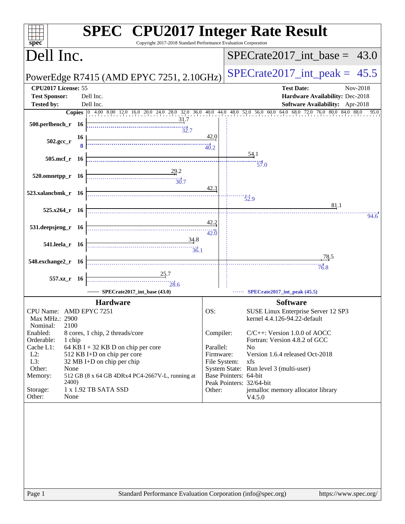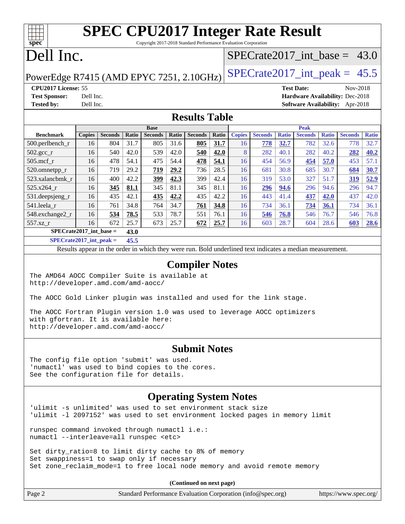| <b>SPEC CPU2017 Integer Rate Result</b>                                      |                                                                                      |                |       |                |       |                |       |                                |                |              |                                 |              |                |              |
|------------------------------------------------------------------------------|--------------------------------------------------------------------------------------|----------------|-------|----------------|-------|----------------|-------|--------------------------------|----------------|--------------|---------------------------------|--------------|----------------|--------------|
|                                                                              | Copyright 2017-2018 Standard Performance Evaluation Corporation<br>spec <sup>®</sup> |                |       |                |       |                |       |                                |                |              |                                 |              |                |              |
| Dell Inc.                                                                    |                                                                                      |                |       |                |       |                |       | $SPECTate2017$ int base = 43.0 |                |              |                                 |              |                |              |
| $SPECrate2017\_int\_peak = 45.5$<br>PowerEdge R7415 (AMD EPYC 7251, 2.10GHz) |                                                                                      |                |       |                |       |                |       |                                |                |              |                                 |              |                |              |
| CPU2017 License: 55                                                          |                                                                                      |                |       |                |       |                |       |                                |                |              | <b>Test Date:</b>               |              | Nov-2018       |              |
| <b>Test Sponsor:</b>                                                         | Dell Inc.                                                                            |                |       |                |       |                |       |                                |                |              | Hardware Availability: Dec-2018 |              |                |              |
| <b>Tested by:</b>                                                            | Dell Inc.                                                                            |                |       |                |       |                |       |                                |                |              | <b>Software Availability:</b>   |              | Apr-2018       |              |
| <b>Results Table</b>                                                         |                                                                                      |                |       |                |       |                |       |                                |                |              |                                 |              |                |              |
|                                                                              |                                                                                      |                |       | <b>Base</b>    |       |                |       |                                |                |              | <b>Peak</b>                     |              |                |              |
| <b>Benchmark</b>                                                             | <b>Copies</b>                                                                        | <b>Seconds</b> | Ratio | <b>Seconds</b> | Ratio | <b>Seconds</b> | Ratio | <b>Copies</b>                  | <b>Seconds</b> | <b>Ratio</b> | <b>Seconds</b>                  | <b>Ratio</b> | <b>Seconds</b> | <b>Ratio</b> |
| 500.perlbench_r                                                              | 16                                                                                   | 804            | 31.7  | 805            | 31.6  | 805            | 31.7  | 16                             | 778            | 32.7         | 782                             | 32.6         | 778            | 32.7         |
| $502.\text{gcc\_r}$                                                          | 16                                                                                   | 540            | 42.0  | 539            | 42.0  | 540            | 42.0  | 8                              | 282            | 40.1         | 282                             | 40.2         | 282            | 40.2         |
| $505$ .mcf r                                                                 | 16                                                                                   | 478            | 54.1  | 475            | 54.4  | 478            | 54.1  | 16                             | 454            | 56.9         | 454                             | 57.0         | 453            | 57.1         |
| 520.omnetpp_r                                                                | 16                                                                                   | 719            | 29.2  | 719            | 29.2  | 736            | 28.5  | 16                             | 681            | 30.8         | 685                             | 30.7         | 684            | 30.7         |
| 523.xalancbmk r                                                              | 16                                                                                   | 400            | 42.2  | 399            | 42.3  | 399            | 42.4  | 16                             | 319            | 53.0         | 327                             | 51.7         | <u>319</u>     | 52.9         |
| $525.x264$ r                                                                 | 16                                                                                   | 345            | 81.1  | 345            | 81.1  | 345            | 81.1  | 16                             | 296            | 94.6         | 296                             | 94.6         | 296            | 94.7         |
| 531.deepsjeng_r                                                              | 16                                                                                   | 435            | 42.1  | 435            | 42.2  | 435            | 42.2  | 16                             | 443            | 41.4         | 437                             | 42.0         | 437            | 42.0         |
| 541.leela r                                                                  | 16                                                                                   | 761            | 34.8  | 764            | 34.7  | 761            | 34.8  | 16                             | 734            | 36.1         | 734                             | 36.1         | 734            | 36.1         |
| 548.exchange2_r                                                              | 16                                                                                   | 534            | 78.5  | 533            | 78.7  | 551            | 76.1  | 16                             | 546            | 76.8         | 546                             | 76.7         | 546            | 76.8         |
| 557.xz_r                                                                     | 16                                                                                   | 672            | 25.7  | 673            | 25.7  | 672            | 25.7  | 16                             | 603            | 28.7         | 604                             | 28.6         | 603            | 28.6         |
|                                                                              | $SPECrate2017$ int base =<br>43.0                                                    |                |       |                |       |                |       |                                |                |              |                                 |              |                |              |

**[SPECrate2017\\_int\\_peak =](http://www.spec.org/auto/cpu2017/Docs/result-fields.html#SPECrate2017intpeak) 45.5**

Results appear in the [order in which they were run](http://www.spec.org/auto/cpu2017/Docs/result-fields.html#RunOrder). Bold underlined text [indicates a median measurement](http://www.spec.org/auto/cpu2017/Docs/result-fields.html#Median).

#### **[Compiler Notes](http://www.spec.org/auto/cpu2017/Docs/result-fields.html#CompilerNotes)**

The AMD64 AOCC Compiler Suite is available at <http://developer.amd.com/amd-aocc/>

The AOCC Gold Linker plugin was installed and used for the link stage.

The AOCC Fortran Plugin version 1.0 was used to leverage AOCC optimizers with gfortran. It is available here: <http://developer.amd.com/amd-aocc/>

#### **[Submit Notes](http://www.spec.org/auto/cpu2017/Docs/result-fields.html#SubmitNotes)**

The config file option 'submit' was used. 'numactl' was used to bind copies to the cores. See the configuration file for details.

#### **[Operating System Notes](http://www.spec.org/auto/cpu2017/Docs/result-fields.html#OperatingSystemNotes)**

'ulimit -s unlimited' was used to set environment stack size 'ulimit -l 2097152' was used to set environment locked pages in memory limit

runspec command invoked through numactl i.e.: numactl --interleave=all runspec <etc>

Set dirty\_ratio=8 to limit dirty cache to 8% of memory Set swappiness=1 to swap only if necessary Set zone\_reclaim\_mode=1 to free local node memory and avoid remote memory

**(Continued on next page)**

| $\vert$ Page 2 | Standard Performance Evaluation Corporation (info@spec.org) | https://www.spec.org/ |
|----------------|-------------------------------------------------------------|-----------------------|
|                |                                                             |                       |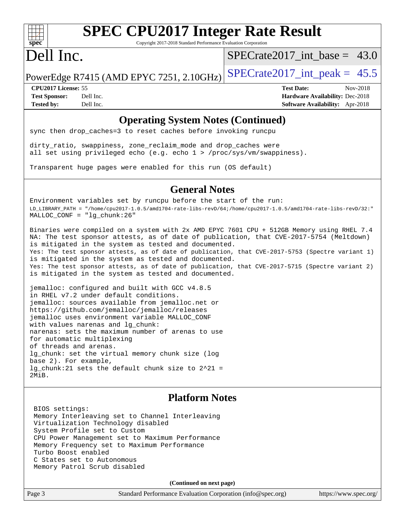

# **[SPEC CPU2017 Integer Rate Result](http://www.spec.org/auto/cpu2017/Docs/result-fields.html#SPECCPU2017IntegerRateResult)**

Copyright 2017-2018 Standard Performance Evaluation Corporation

## Dell Inc.

 $SPECrate2017\_int\_base = 43.0$ 

PowerEdge R7415 (AMD EPYC 7251, 2.10GHz) SPECrate  $2017$ \_int\_peak = 45.5

**[CPU2017 License:](http://www.spec.org/auto/cpu2017/Docs/result-fields.html#CPU2017License)** 55 **[Test Date:](http://www.spec.org/auto/cpu2017/Docs/result-fields.html#TestDate)** Nov-2018 **[Test Sponsor:](http://www.spec.org/auto/cpu2017/Docs/result-fields.html#TestSponsor)** Dell Inc. **[Hardware Availability:](http://www.spec.org/auto/cpu2017/Docs/result-fields.html#HardwareAvailability)** Dec-2018 **[Tested by:](http://www.spec.org/auto/cpu2017/Docs/result-fields.html#Testedby)** Dell Inc. **[Software Availability:](http://www.spec.org/auto/cpu2017/Docs/result-fields.html#SoftwareAvailability)** Apr-2018

#### **[Operating System Notes \(Continued\)](http://www.spec.org/auto/cpu2017/Docs/result-fields.html#OperatingSystemNotes)**

sync then drop\_caches=3 to reset caches before invoking runcpu

dirty\_ratio, swappiness, zone\_reclaim\_mode and drop\_caches were all set using privileged echo (e.g. echo 1 > /proc/sys/vm/swappiness).

Transparent huge pages were enabled for this run (OS default)

#### **[General Notes](http://www.spec.org/auto/cpu2017/Docs/result-fields.html#GeneralNotes)**

Environment variables set by runcpu before the start of the run: LD\_LIBRARY\_PATH = "/home/cpu2017-1.0.5/amd1704-rate-libs-revD/64;/home/cpu2017-1.0.5/amd1704-rate-libs-revD/32:" MALLOC\_CONF = "lg\_chunk:26"

Binaries were compiled on a system with 2x AMD EPYC 7601 CPU + 512GB Memory using RHEL 7.4 NA: The test sponsor attests, as of date of publication, that CVE-2017-5754 (Meltdown) is mitigated in the system as tested and documented. Yes: The test sponsor attests, as of date of publication, that CVE-2017-5753 (Spectre variant 1) is mitigated in the system as tested and documented. Yes: The test sponsor attests, as of date of publication, that CVE-2017-5715 (Spectre variant 2) is mitigated in the system as tested and documented.

jemalloc: configured and built with GCC v4.8.5 in RHEL v7.2 under default conditions. jemalloc: sources available from jemalloc.net or <https://github.com/jemalloc/jemalloc/releases> jemalloc uses environment variable MALLOC\_CONF with values narenas and lg\_chunk: narenas: sets the maximum number of arenas to use for automatic multiplexing of threads and arenas. lg\_chunk: set the virtual memory chunk size (log base 2). For example, lg\_chunk:21 sets the default chunk size to 2^21 = 2MiB.

#### **[Platform Notes](http://www.spec.org/auto/cpu2017/Docs/result-fields.html#PlatformNotes)**

 BIOS settings: Memory Interleaving set to Channel Interleaving Virtualization Technology disabled System Profile set to Custom CPU Power Management set to Maximum Performance Memory Frequency set to Maximum Performance Turbo Boost enabled C States set to Autonomous Memory Patrol Scrub disabled

**(Continued on next page)**

Page 3 Standard Performance Evaluation Corporation [\(info@spec.org\)](mailto:info@spec.org) <https://www.spec.org/>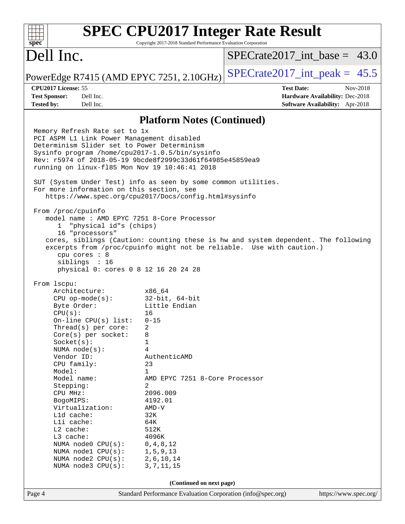|                                                                                                                                                                                                                                                                                                                                                                                                                                                                                                                                          |                                                                                                                                                                                                                                                                                        | <b>SPEC CPU2017 Integer Rate Result</b>                                                                                                                     |  |
|------------------------------------------------------------------------------------------------------------------------------------------------------------------------------------------------------------------------------------------------------------------------------------------------------------------------------------------------------------------------------------------------------------------------------------------------------------------------------------------------------------------------------------------|----------------------------------------------------------------------------------------------------------------------------------------------------------------------------------------------------------------------------------------------------------------------------------------|-------------------------------------------------------------------------------------------------------------------------------------------------------------|--|
| spec <sup>®</sup>                                                                                                                                                                                                                                                                                                                                                                                                                                                                                                                        | Copyright 2017-2018 Standard Performance Evaluation Corporation                                                                                                                                                                                                                        |                                                                                                                                                             |  |
| Dell Inc.                                                                                                                                                                                                                                                                                                                                                                                                                                                                                                                                |                                                                                                                                                                                                                                                                                        | $SPECTate2017\_int\_base = 43.0$                                                                                                                            |  |
| PowerEdge R7415 (AMD EPYC 7251, 2.10GHz)                                                                                                                                                                                                                                                                                                                                                                                                                                                                                                 |                                                                                                                                                                                                                                                                                        | $SPECTate2017\_int\_peak = 45.5$                                                                                                                            |  |
| CPU2017 License: 55                                                                                                                                                                                                                                                                                                                                                                                                                                                                                                                      |                                                                                                                                                                                                                                                                                        | <b>Test Date:</b><br>Nov-2018                                                                                                                               |  |
| <b>Test Sponsor:</b><br>Dell Inc.<br>Dell Inc.<br><b>Tested by:</b>                                                                                                                                                                                                                                                                                                                                                                                                                                                                      |                                                                                                                                                                                                                                                                                        | Hardware Availability: Dec-2018                                                                                                                             |  |
|                                                                                                                                                                                                                                                                                                                                                                                                                                                                                                                                          |                                                                                                                                                                                                                                                                                        | Software Availability: Apr-2018                                                                                                                             |  |
|                                                                                                                                                                                                                                                                                                                                                                                                                                                                                                                                          | <b>Platform Notes (Continued)</b>                                                                                                                                                                                                                                                      |                                                                                                                                                             |  |
| Memory Refresh Rate set to 1x<br>PCI ASPM L1 Link Power Management disabled<br>Determinism Slider set to Power Determinism<br>Sysinfo program /home/cpu2017-1.0.5/bin/sysinfo<br>Rev: r5974 of 2018-05-19 9bcde8f2999c33d61f64985e45859ea9<br>running on linux-f185 Mon Nov 19 10:46:41 2018<br>SUT (System Under Test) info as seen by some common utilities.<br>For more information on this section, see<br>https://www.spec.org/cpu2017/Docs/config.html#sysinfo<br>From /proc/cpuinfo<br>model name: AMD EPYC 7251 8-Core Processor |                                                                                                                                                                                                                                                                                        |                                                                                                                                                             |  |
| "physical id"s (chips)<br>$\mathbf{1}$<br>16 "processors"<br>cpu cores : 8<br>siblings : 16<br>physical 0: cores 0 8 12 16 20 24 28                                                                                                                                                                                                                                                                                                                                                                                                      |                                                                                                                                                                                                                                                                                        | cores, siblings (Caution: counting these is hw and system dependent. The following<br>excerpts from /proc/cpuinfo might not be reliable. Use with caution.) |  |
| From 1scpu:<br>Architecture:<br>$CPU$ op-mode( $s$ ):<br>Byte Order:<br>CPU(s):<br>On-line CPU(s) list:<br>Thread(s) per core:<br>Core(s) per socket:<br>Socket(s):<br>NUMA node(s):<br>Vendor ID:<br>CPU family:<br>Model:<br>Model name:<br>Stepping:<br>CPU MHz:<br>BogoMIPS:<br>Virtualization:<br>L1d cache:<br>Lli cache:<br>L2 cache:<br>L3 cache:<br>NUMA node0 CPU(s):<br>NUMA nodel CPU(s):<br>NUMA node2 CPU(s):<br>NUMA node3 CPU(s):                                                                                        | x86 64<br>$32$ -bit, $64$ -bit<br>Little Endian<br>16<br>$0 - 15$<br>2<br>8<br>1<br>4<br>AuthenticAMD<br>23<br>1<br>AMD EPYC 7251 8-Core Processor<br>2<br>2096.009<br>4192.01<br>$AMD-V$<br>32K<br>64K<br>512K<br>4096K<br>0, 4, 8, 12<br>1, 5, 9, 13<br>2, 6, 10, 14<br>3, 7, 11, 15 |                                                                                                                                                             |  |
| (Continued on next page)                                                                                                                                                                                                                                                                                                                                                                                                                                                                                                                 |                                                                                                                                                                                                                                                                                        |                                                                                                                                                             |  |
| Page 4                                                                                                                                                                                                                                                                                                                                                                                                                                                                                                                                   | Standard Performance Evaluation Corporation (info@spec.org)                                                                                                                                                                                                                            | https://www.spec.org/                                                                                                                                       |  |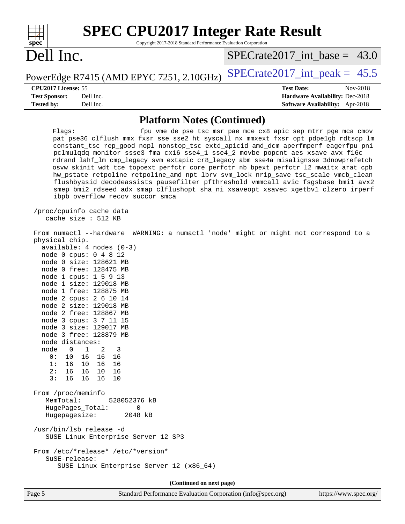| <b>SPEC CPU2017 Integer Rate Result</b>                                                                                                                                                                                                                                                                                                                                                                                                                                                                                                                                                                                                                                                                                                                                                                                                                                                                                                                                                                                                                                                                                                                                                                                                                                                                                                                                                                                                                                                                                                                                                                                                                                                                                                     |                                                                                                     |
|---------------------------------------------------------------------------------------------------------------------------------------------------------------------------------------------------------------------------------------------------------------------------------------------------------------------------------------------------------------------------------------------------------------------------------------------------------------------------------------------------------------------------------------------------------------------------------------------------------------------------------------------------------------------------------------------------------------------------------------------------------------------------------------------------------------------------------------------------------------------------------------------------------------------------------------------------------------------------------------------------------------------------------------------------------------------------------------------------------------------------------------------------------------------------------------------------------------------------------------------------------------------------------------------------------------------------------------------------------------------------------------------------------------------------------------------------------------------------------------------------------------------------------------------------------------------------------------------------------------------------------------------------------------------------------------------------------------------------------------------|-----------------------------------------------------------------------------------------------------|
| Copyright 2017-2018 Standard Performance Evaluation Corporation<br>spec <sup>®</sup><br>Dell Inc.                                                                                                                                                                                                                                                                                                                                                                                                                                                                                                                                                                                                                                                                                                                                                                                                                                                                                                                                                                                                                                                                                                                                                                                                                                                                                                                                                                                                                                                                                                                                                                                                                                           | $SPECTate2017$ int base = 43.0                                                                      |
| PowerEdge R7415 (AMD EPYC 7251, 2.10GHz)                                                                                                                                                                                                                                                                                                                                                                                                                                                                                                                                                                                                                                                                                                                                                                                                                                                                                                                                                                                                                                                                                                                                                                                                                                                                                                                                                                                                                                                                                                                                                                                                                                                                                                    | $SPECTate2017\_int\_peak = 45.5$                                                                    |
| CPU2017 License: 55<br><b>Test Sponsor:</b><br>Dell Inc.<br><b>Tested by:</b><br>Dell Inc.                                                                                                                                                                                                                                                                                                                                                                                                                                                                                                                                                                                                                                                                                                                                                                                                                                                                                                                                                                                                                                                                                                                                                                                                                                                                                                                                                                                                                                                                                                                                                                                                                                                  | <b>Test Date:</b><br>Nov-2018<br>Hardware Availability: Dec-2018<br>Software Availability: Apr-2018 |
| <b>Platform Notes (Continued)</b>                                                                                                                                                                                                                                                                                                                                                                                                                                                                                                                                                                                                                                                                                                                                                                                                                                                                                                                                                                                                                                                                                                                                                                                                                                                                                                                                                                                                                                                                                                                                                                                                                                                                                                           |                                                                                                     |
| Flags:<br>pat pse36 clflush mmx fxsr sse sse2 ht syscall nx mmxext fxsr_opt pdpe1gb rdtscp lm<br>constant_tsc rep_good nopl nonstop_tsc extd_apicid amd_dcm aperfmperf eagerfpu pni<br>pclmulqdq monitor ssse3 fma cx16 sse4_1 sse4_2 movbe popcnt aes xsave avx f16c<br>rdrand lahf_lm cmp_legacy svm extapic cr8_legacy abm sse4a misalignsse 3dnowprefetch<br>osvw skinit wdt tce topoext perfctr_core perfctr_nb bpext perfctr_12 mwaitx arat cpb<br>hw_pstate retpoline retpoline_amd npt lbrv svm_lock nrip_save tsc_scale vmcb_clean<br>flushbyasid decodeassists pausefilter pfthreshold vmmcall avic fsgsbase bmil avx2<br>smep bmi2 rdseed adx smap clflushopt sha_ni xsaveopt xsavec xgetbvl clzero irperf<br>ibpb overflow_recov succor smca<br>/proc/cpuinfo cache data<br>cache size : 512 KB<br>From numactl --hardware WARNING: a numactl 'node' might or might not correspond to a<br>physical chip.<br>$available: 4 nodes (0-3)$<br>node 0 cpus: 0 4 8 12<br>node 0 size: 128621 MB<br>node 0 free: 128475 MB<br>node 1 cpus: 1 5 9 13<br>node 1 size: 129018 MB<br>node 1 free: 128875 MB<br>node 2 cpus: 2 6 10 14<br>node 2 size: 129018 MB<br>node 2 free: 128867 MB<br>node 3 cpus: 3 7 11 15<br>node 3 size: 129017 MB<br>node 3 free: 128879 MB<br>node distances:<br>$\mathbf 1$<br>node<br>$\overline{0}$<br>2<br>3<br>0:<br>10<br>16<br>16<br>16<br>1:<br>16<br>10 16<br>16<br>2:<br>16<br>16 10<br>16<br>3:<br>16<br>16 16<br>10<br>From /proc/meminfo<br>MemTotal:<br>528052376 kB<br>HugePages_Total:<br>0<br>Hugepagesize:<br>2048 kB<br>/usr/bin/lsb_release -d<br>SUSE Linux Enterprise Server 12 SP3<br>From /etc/*release* /etc/*version*<br>SuSE-release:<br>SUSE Linux Enterprise Server 12 (x86_64) | fpu vme de pse tsc msr pae mce cx8 apic sep mtrr pge mca cmov                                       |
| (Continued on next page)                                                                                                                                                                                                                                                                                                                                                                                                                                                                                                                                                                                                                                                                                                                                                                                                                                                                                                                                                                                                                                                                                                                                                                                                                                                                                                                                                                                                                                                                                                                                                                                                                                                                                                                    |                                                                                                     |
| Standard Performance Evaluation Corporation (info@spec.org)<br>Page 5                                                                                                                                                                                                                                                                                                                                                                                                                                                                                                                                                                                                                                                                                                                                                                                                                                                                                                                                                                                                                                                                                                                                                                                                                                                                                                                                                                                                                                                                                                                                                                                                                                                                       | https://www.spec.org/                                                                               |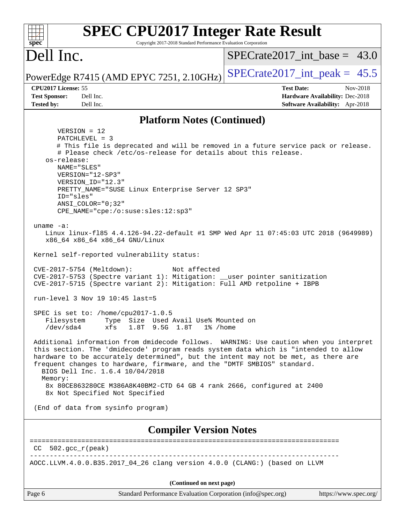| <b>SPEC CPU2017 Integer Rate Result</b>                                                                                                                                                                                                                                                                                                                                           |                                                                           |  |  |  |
|-----------------------------------------------------------------------------------------------------------------------------------------------------------------------------------------------------------------------------------------------------------------------------------------------------------------------------------------------------------------------------------|---------------------------------------------------------------------------|--|--|--|
| Spec<br>Copyright 2017-2018 Standard Performance Evaluation Corporation                                                                                                                                                                                                                                                                                                           |                                                                           |  |  |  |
| Dell Inc.                                                                                                                                                                                                                                                                                                                                                                         | $SPECrate2017\_int\_base = 43.0$                                          |  |  |  |
| PowerEdge R7415 (AMD EPYC 7251, 2.10GHz)                                                                                                                                                                                                                                                                                                                                          | $SPECTate2017\_int\_peak = 45.5$                                          |  |  |  |
| CPU2017 License: 55                                                                                                                                                                                                                                                                                                                                                               | Nov-2018<br><b>Test Date:</b>                                             |  |  |  |
| <b>Test Sponsor:</b><br>Dell Inc.<br><b>Tested by:</b><br>Dell Inc.                                                                                                                                                                                                                                                                                                               | Hardware Availability: Dec-2018<br><b>Software Availability:</b> Apr-2018 |  |  |  |
|                                                                                                                                                                                                                                                                                                                                                                                   |                                                                           |  |  |  |
| <b>Platform Notes (Continued)</b>                                                                                                                                                                                                                                                                                                                                                 |                                                                           |  |  |  |
| $VERSION = 12$<br>PATCHLEVEL = 3<br># This file is deprecated and will be removed in a future service pack or release.<br># Please check /etc/os-release for details about this release.<br>os-release:<br>NAME="SLES"<br>VERSION="12-SP3"<br>VERSION_ID="12.3"<br>PRETTY_NAME="SUSE Linux Enterprise Server 12 SP3"<br>ID="sles"<br>ANSI COLOR="0;32"                            |                                                                           |  |  |  |
| CPE_NAME="cpe:/o:suse:sles:12:sp3"<br>uname $-a$ :<br>Linux linux-f185 4.4.126-94.22-default #1 SMP Wed Apr 11 07:45:03 UTC 2018 (9649989)<br>x86_64 x86_64 x86_64 GNU/Linux                                                                                                                                                                                                      |                                                                           |  |  |  |
| Kernel self-reported vulnerability status:                                                                                                                                                                                                                                                                                                                                        |                                                                           |  |  |  |
| CVE-2017-5754 (Meltdown):<br>Not affected<br>CVE-2017-5753 (Spectre variant 1): Mitigation: __user pointer sanitization<br>CVE-2017-5715 (Spectre variant 2): Mitigation: Full AMD retpoline + IBPB                                                                                                                                                                               |                                                                           |  |  |  |
| run-level 3 Nov 19 $10:45$ last=5                                                                                                                                                                                                                                                                                                                                                 |                                                                           |  |  |  |
| SPEC is set to: /home/cpu2017-1.0.5<br>Type Size Used Avail Use% Mounted on<br>Filesystem<br>$/\text{dev}/\text{sda4}$<br>xfs<br>1.8T 9.5G 1.8T<br>$1\%$ /home                                                                                                                                                                                                                    |                                                                           |  |  |  |
| Additional information from dmidecode follows. WARNING: Use caution when you interpret<br>this section. The 'dmidecode' program reads system data which is "intended to allow<br>hardware to be accurately determined", but the intent may not be met, as there are<br>frequent changes to hardware, firmware, and the "DMTF SMBIOS" standard.<br>BIOS Dell Inc. 1.6.4 10/04/2018 |                                                                           |  |  |  |
| Memory:<br>8x 80CE863280CE M386A8K40BM2-CTD 64 GB 4 rank 2666, configured at 2400<br>8x Not Specified Not Specified                                                                                                                                                                                                                                                               |                                                                           |  |  |  |
| (End of data from sysinfo program)                                                                                                                                                                                                                                                                                                                                                |                                                                           |  |  |  |
| <b>Compiler Version Notes</b>                                                                                                                                                                                                                                                                                                                                                     |                                                                           |  |  |  |
| $502.$ gcc_r(peak)<br>CC.                                                                                                                                                                                                                                                                                                                                                         |                                                                           |  |  |  |
| AOCC.LLVM.4.0.0.B35.2017_04_26 clang version 4.0.0 (CLANG:) (based on LLVM                                                                                                                                                                                                                                                                                                        |                                                                           |  |  |  |
| (Continued on next page)                                                                                                                                                                                                                                                                                                                                                          |                                                                           |  |  |  |
| Standard Performance Evaluation Corporation (info@spec.org)<br>Page 6                                                                                                                                                                                                                                                                                                             | https://www.spec.org/                                                     |  |  |  |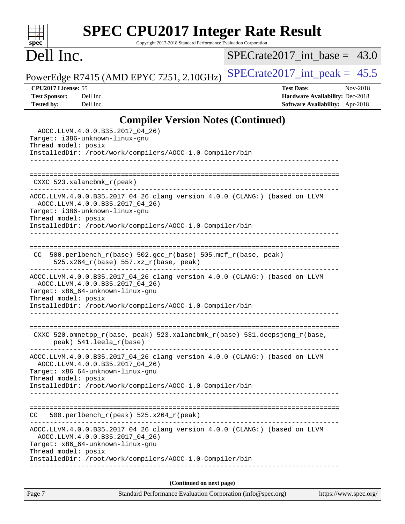# **[SPEC CPU2017 Integer Rate Result](http://www.spec.org/auto/cpu2017/Docs/result-fields.html#SPECCPU2017IntegerRateResult)**

Copyright 2017-2018 Standard Performance Evaluation Corporation

## Dell Inc.

**[spec](http://www.spec.org/)**

 $+\ +$ 

 $SPECrate2017\_int\_base = 43.0$ 

PowerEdge R7415 (AMD EPYC 7251, 2.10GHz) [SPECrate2017\\_int\\_peak =](http://www.spec.org/auto/cpu2017/Docs/result-fields.html#SPECrate2017intpeak)  $45.5$ 

**[CPU2017 License:](http://www.spec.org/auto/cpu2017/Docs/result-fields.html#CPU2017License)** 55 **[Test Date:](http://www.spec.org/auto/cpu2017/Docs/result-fields.html#TestDate)** Nov-2018 **[Test Sponsor:](http://www.spec.org/auto/cpu2017/Docs/result-fields.html#TestSponsor)** Dell Inc. **[Hardware Availability:](http://www.spec.org/auto/cpu2017/Docs/result-fields.html#HardwareAvailability)** Dec-2018 **[Tested by:](http://www.spec.org/auto/cpu2017/Docs/result-fields.html#Testedby)** Dell Inc. **[Software Availability:](http://www.spec.org/auto/cpu2017/Docs/result-fields.html#SoftwareAvailability)** Apr-2018

#### **[Compiler Version Notes \(Continued\)](http://www.spec.org/auto/cpu2017/Docs/result-fields.html#CompilerVersionNotes)**

| Page 7                                                | Standard Performance Evaluation Corporation (info@spec.org)                                                                                                               | https://www.spec.org/ |
|-------------------------------------------------------|---------------------------------------------------------------------------------------------------------------------------------------------------------------------------|-----------------------|
|                                                       | (Continued on next page)                                                                                                                                                  |                       |
| Thread model: posix                                   | InstalledDir: /root/work/compilers/AOCC-1.0-Compiler/bin                                                                                                                  |                       |
|                                                       | AOCC.LLVM.4.0.0.B35.2017_04_26 clang version 4.0.0 (CLANG:) (based on LLVM<br>AOCC.LLVM.4.0.0.B35.2017_04_26)<br>Target: x86_64-unknown-linux-gnu                         |                       |
| CC.                                                   | 500.perlbench_r(peak) 525.x264_r(peak)                                                                                                                                    |                       |
|                                                       | InstalledDir: /root/work/compilers/AOCC-1.0-Compiler/bin                                                                                                                  |                       |
| Thread model: posix                                   | AOCC.LLVM.4.0.0.B35.2017_04_26 clang version 4.0.0 (CLANG:) (based on LLVM<br>AOCC.LLVM.4.0.0.B35.2017_04_26)<br>Target: x86_64-unknown-linux-gnu                         |                       |
| ___________________________                           | CXXC 520.omnetpp_r(base, peak) 523.xalancbmk_r(base) 531.deepsjeng_r(base,<br>peak) 541.leela r(base)                                                                     |                       |
| Thread model: posix                                   | Target: x86_64-unknown-linux-gnu<br>InstalledDir: /root/work/compilers/AOCC-1.0-Compiler/bin                                                                              |                       |
|                                                       | AOCC.LLVM.4.0.0.B35.2017_04_26 clang version 4.0.0 (CLANG:) (based on LLVM<br>AOCC.LLVM.4.0.0.B35.2017 04 26)                                                             |                       |
| CC.                                                   | 500.perlbench_r(base) 502.gcc_r(base) 505.mcf_r(base, peak)<br>525.x264_r(base) 557.xz_r(base, peak)<br>-----------------------------                                     |                       |
| Target: i386-unknown-linux-gnu<br>Thread model: posix | AOCC.LLVM.4.0.0.B35.2017_04_26 clang version 4.0.0 (CLANG:) (based on LLVM<br>AOCC.LLVM.4.0.0.B35.2017_04_26)<br>InstalledDir: /root/work/compilers/AOCC-1.0-Compiler/bin |                       |
| $CXXC$ 523.xalancbmk $_r$ (peak)                      |                                                                                                                                                                           |                       |
|                                                       |                                                                                                                                                                           |                       |
| Target: i386-unknown-linux-gnu<br>Thread model: posix | AOCC.LLVM.4.0.0.B35.2017_04_26)<br>InstalledDir: /root/work/compilers/AOCC-1.0-Compiler/bin<br>__________________________                                                 |                       |
|                                                       |                                                                                                                                                                           |                       |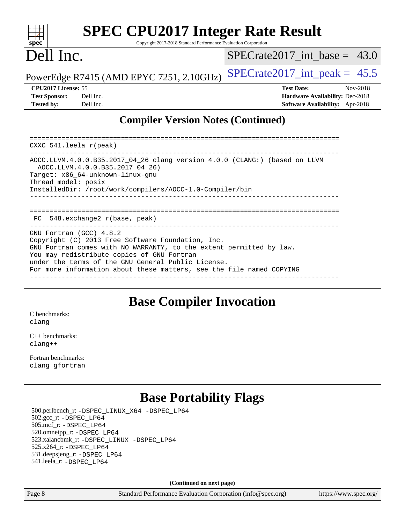#### $+\ +$ **[spec](http://www.spec.org/)**

# **[SPEC CPU2017 Integer Rate Result](http://www.spec.org/auto/cpu2017/Docs/result-fields.html#SPECCPU2017IntegerRateResult)**

Copyright 2017-2018 Standard Performance Evaluation Corporation

## Dell Inc.

SPECrate2017 int\_base =  $43.0$ 

PowerEdge R7415 (AMD EPYC 7251, 2.10GHz) SPECrate  $2017$ \_int\_peak = 45.5

| <b>Test Sponsor:</b> | Dell Inc |
|----------------------|----------|
| <b>Tested by:</b>    | Dell Inc |

**[CPU2017 License:](http://www.spec.org/auto/cpu2017/Docs/result-fields.html#CPU2017License)** 55 **[Test Date:](http://www.spec.org/auto/cpu2017/Docs/result-fields.html#TestDate)** Nov-2018 **[Test Sponsor:](http://www.spec.org/auto/cpu2017/Docs/result-fields.html#TestSponsor)** Decree Sponsor: **[Hardware Availability:](http://www.spec.org/auto/cpu2017/Docs/result-fields.html#HardwareAvailability)** Dec-2018 **[Tested by:](http://www.spec.org/auto/cpu2017/Docs/result-fields.html#Testedby) [Software Availability:](http://www.spec.org/auto/cpu2017/Docs/result-fields.html#SoftwareAvailability)** Apr-2018

#### **[Compiler Version Notes \(Continued\)](http://www.spec.org/auto/cpu2017/Docs/result-fields.html#CompilerVersionNotes)**

============================================================================== CXXC 541.leela\_r(peak) ------------------------------------------------------------------------------ AOCC.LLVM.4.0.0.B35.2017\_04\_26 clang version 4.0.0 (CLANG:) (based on LLVM AOCC.LLVM.4.0.0.B35.2017\_04\_26) Target: x86\_64-unknown-linux-gnu Thread model: posix InstalledDir: /root/work/compilers/AOCC-1.0-Compiler/bin ------------------------------------------------------------------------------ ============================================================================== FC 548.exchange2\_r(base, peak) ------------------------------------------------------------------------------ GNU Fortran (GCC) 4.8.2 Copyright (C) 2013 Free Software Foundation, Inc. GNU Fortran comes with NO WARRANTY, to the extent permitted by law. You may redistribute copies of GNU Fortran under the terms of the GNU General Public License. For more information about these matters, see the file named COPYING ------------------------------------------------------------------------------

### **[Base Compiler Invocation](http://www.spec.org/auto/cpu2017/Docs/result-fields.html#BaseCompilerInvocation)**

[C benchmarks](http://www.spec.org/auto/cpu2017/Docs/result-fields.html#Cbenchmarks): [clang](http://www.spec.org/cpu2017/results/res2018q4/cpu2017-20181210-10147.flags.html#user_CCbase_Fclang3_a68b77bfed473bd9cdd22529af008e8306c2e3948617c8991604c1a2000ee4a73ef90dd8bc793e105fe4165a625d26dacbda4708d828ad19048918c071b363ec)

[C++ benchmarks:](http://www.spec.org/auto/cpu2017/Docs/result-fields.html#CXXbenchmarks) [clang++](http://www.spec.org/cpu2017/results/res2018q4/cpu2017-20181210-10147.flags.html#user_CXXbase_Fclang3_57a48582e5be507d19b2527b3e7d4f85d9b8669ffc9a8a0dbb9bcf949a918a58bbab411e0c4d14a3922022a3e425a90db94042683824c1806feff4324ca1000d)

[Fortran benchmarks](http://www.spec.org/auto/cpu2017/Docs/result-fields.html#Fortranbenchmarks): [clang](http://www.spec.org/cpu2017/results/res2018q4/cpu2017-20181210-10147.flags.html#user_FCbase_Fclang3_a68b77bfed473bd9cdd22529af008e8306c2e3948617c8991604c1a2000ee4a73ef90dd8bc793e105fe4165a625d26dacbda4708d828ad19048918c071b363ec) [gfortran](http://www.spec.org/cpu2017/results/res2018q4/cpu2017-20181210-10147.flags.html#user_FCbase_aocc-gfortran_128c91a56d61ddb07404721e65b8f9498c31a443dacbd3b7f212891090eca86e2d099b520f75b99e9e8ac4fdec01f4d15f0b65e47123ec4c42b0759045731a1f)

## **[Base Portability Flags](http://www.spec.org/auto/cpu2017/Docs/result-fields.html#BasePortabilityFlags)**

 500.perlbench\_r: [-DSPEC\\_LINUX\\_X64](http://www.spec.org/cpu2017/results/res2018q4/cpu2017-20181210-10147.flags.html#b500.perlbench_r_basePORTABILITY_DSPEC_LINUX_X64) [-DSPEC\\_LP64](http://www.spec.org/cpu2017/results/res2018q4/cpu2017-20181210-10147.flags.html#b500.perlbench_r_baseEXTRA_PORTABILITY_DSPEC_LP64) 502.gcc\_r: [-DSPEC\\_LP64](http://www.spec.org/cpu2017/results/res2018q4/cpu2017-20181210-10147.flags.html#suite_baseEXTRA_PORTABILITY502_gcc_r_DSPEC_LP64) 505.mcf\_r: [-DSPEC\\_LP64](http://www.spec.org/cpu2017/results/res2018q4/cpu2017-20181210-10147.flags.html#suite_baseEXTRA_PORTABILITY505_mcf_r_DSPEC_LP64) 520.omnetpp\_r: [-DSPEC\\_LP64](http://www.spec.org/cpu2017/results/res2018q4/cpu2017-20181210-10147.flags.html#suite_baseEXTRA_PORTABILITY520_omnetpp_r_DSPEC_LP64) 523.xalancbmk\_r: [-DSPEC\\_LINUX](http://www.spec.org/cpu2017/results/res2018q4/cpu2017-20181210-10147.flags.html#b523.xalancbmk_r_basePORTABILITY_DSPEC_LINUX) [-DSPEC\\_LP64](http://www.spec.org/cpu2017/results/res2018q4/cpu2017-20181210-10147.flags.html#suite_baseEXTRA_PORTABILITY523_xalancbmk_r_DSPEC_LP64) 525.x264\_r: [-DSPEC\\_LP64](http://www.spec.org/cpu2017/results/res2018q4/cpu2017-20181210-10147.flags.html#suite_baseEXTRA_PORTABILITY525_x264_r_DSPEC_LP64) 531.deepsjeng\_r: [-DSPEC\\_LP64](http://www.spec.org/cpu2017/results/res2018q4/cpu2017-20181210-10147.flags.html#suite_baseEXTRA_PORTABILITY531_deepsjeng_r_DSPEC_LP64) 541.leela\_r: [-DSPEC\\_LP64](http://www.spec.org/cpu2017/results/res2018q4/cpu2017-20181210-10147.flags.html#suite_baseEXTRA_PORTABILITY541_leela_r_DSPEC_LP64)

**(Continued on next page)**

Page 8 Standard Performance Evaluation Corporation [\(info@spec.org\)](mailto:info@spec.org) <https://www.spec.org/>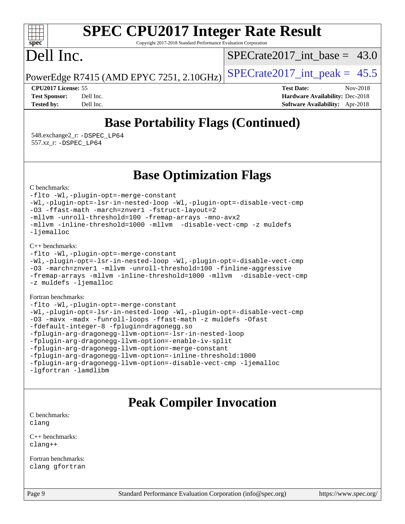#### $\pm\pm\tau$ **[spec](http://www.spec.org/)**

# **[SPEC CPU2017 Integer Rate Result](http://www.spec.org/auto/cpu2017/Docs/result-fields.html#SPECCPU2017IntegerRateResult)**

Copyright 2017-2018 Standard Performance Evaluation Corporation

## Dell Inc.

SPECrate2017 int\_base =  $43.0$ 

PowerEdge R7415 (AMD EPYC 7251, 2.10GHz)  $\left|$  [SPECrate2017\\_int\\_peak =](http://www.spec.org/auto/cpu2017/Docs/result-fields.html#SPECrate2017intpeak) 45.5

**[CPU2017 License:](http://www.spec.org/auto/cpu2017/Docs/result-fields.html#CPU2017License)** 55 **[Test Date:](http://www.spec.org/auto/cpu2017/Docs/result-fields.html#TestDate)** Nov-2018 **[Test Sponsor:](http://www.spec.org/auto/cpu2017/Docs/result-fields.html#TestSponsor)** Dell Inc. **[Hardware Availability:](http://www.spec.org/auto/cpu2017/Docs/result-fields.html#HardwareAvailability)** Dec-2018 **[Tested by:](http://www.spec.org/auto/cpu2017/Docs/result-fields.html#Testedby)** Dell Inc. **[Software Availability:](http://www.spec.org/auto/cpu2017/Docs/result-fields.html#SoftwareAvailability)** Apr-2018

## **[Base Portability Flags \(Continued\)](http://www.spec.org/auto/cpu2017/Docs/result-fields.html#BasePortabilityFlags)**

 548.exchange2\_r: [-DSPEC\\_LP64](http://www.spec.org/cpu2017/results/res2018q4/cpu2017-20181210-10147.flags.html#suite_baseEXTRA_PORTABILITY548_exchange2_r_DSPEC_LP64) 557.xz\_r: [-DSPEC\\_LP64](http://www.spec.org/cpu2017/results/res2018q4/cpu2017-20181210-10147.flags.html#suite_baseEXTRA_PORTABILITY557_xz_r_DSPEC_LP64)

### **[Base Optimization Flags](http://www.spec.org/auto/cpu2017/Docs/result-fields.html#BaseOptimizationFlags)**

[C benchmarks](http://www.spec.org/auto/cpu2017/Docs/result-fields.html#Cbenchmarks):

[-flto](http://www.spec.org/cpu2017/results/res2018q4/cpu2017-20181210-10147.flags.html#user_CCbase_lto) [-Wl,-plugin-opt=-merge-constant](http://www.spec.org/cpu2017/results/res2018q4/cpu2017-20181210-10147.flags.html#user_CCbase_F-merge-constant_1d79771b5442061d9c8e05556c6b0c655e6c9e66f8c6936b0129d434b6acd2b1cf1b7cd2540d1570ff636111b08a6bc36e2e61fc34531f8ef7c1a34c57be1dbb) [-Wl,-plugin-opt=-lsr-in-nested-loop](http://www.spec.org/cpu2017/results/res2018q4/cpu2017-20181210-10147.flags.html#user_CCbase_lsr-in-nested-loop_1cff93fd95162f5e77640b5271e8bed680fb62b4a8d96fb8ab217ff3244646f1fbb342e31af83c263403bbf5249c7dc7732d5c86c3eab4cc8d32dcb7a6f33ca0) [-Wl,-plugin-opt=-disable-vect-cmp](http://www.spec.org/cpu2017/results/res2018q4/cpu2017-20181210-10147.flags.html#user_CCbase_disable-vect-cmp_1056b9a09b8ddc126e023b5f99ae33179ef568835465af9b7adeacf4b6480ff575c8aee439265bcfbcbf086f33f2fa5cca2bc4cf52b64c0cd2e10f6503cba02d) [-O3](http://www.spec.org/cpu2017/results/res2018q4/cpu2017-20181210-10147.flags.html#user_CCbase_F-O3) [-ffast-math](http://www.spec.org/cpu2017/results/res2018q4/cpu2017-20181210-10147.flags.html#user_CCbase_F-aocc-ffast-math_78dd175de6534c2005829757b9b0f2878e57b067cce6f7c443b2250ac68890960e2e1b320ca04b81ff7c62c6f87870ed05f06baf7875eea2990d38e3b73c71f1) [-march=znver1](http://www.spec.org/cpu2017/results/res2018q4/cpu2017-20181210-10147.flags.html#user_CCbase_F-march) [-fstruct-layout=2](http://www.spec.org/cpu2017/results/res2018q4/cpu2017-20181210-10147.flags.html#user_CCbase_F-fstruct-layout_a05ec02e17cdf7fe0c3950a6b005251b2b1e5e67af2b5298cf72714730c3d59ba290e75546b10aa22dac074c15ceaca36ae22c62cb51bcb2fbdc9dc4e7e222c4) [-mllvm -unroll-threshold=100](http://www.spec.org/cpu2017/results/res2018q4/cpu2017-20181210-10147.flags.html#user_CCbase_F-unroll-threshold_2755d0c78138845d361fa1543e3a063fffa198df9b3edf0cfb856bbc88a81e1769b12ac7a550c5d35197be55360db1a3f95a8d1304df999456cabf5120c45168) [-fremap-arrays](http://www.spec.org/cpu2017/results/res2018q4/cpu2017-20181210-10147.flags.html#user_CCbase_F-fremap-arrays) [-mno-avx2](http://www.spec.org/cpu2017/results/res2018q4/cpu2017-20181210-10147.flags.html#user_CCbase_F-mno-avx2) [-mllvm -inline-threshold=1000](http://www.spec.org/cpu2017/results/res2018q4/cpu2017-20181210-10147.flags.html#user_CCbase_inline-threshold_b7832241b0a6397e4ecdbaf0eb7defdc10f885c2a282fa3240fdc99844d543fda39cf8a4a9dccf68cf19b5438ac3b455264f478df15da0f4988afa40d8243bab) [-mllvm -disable-vect-cmp](http://www.spec.org/cpu2017/results/res2018q4/cpu2017-20181210-10147.flags.html#user_CCbase_disable-vect-cmp_d995c9eb800469498c6893dc847c54c903d59847b18cb2ac22011b9af7010c96d2d48d3c6b41246fe86945001509aa4dc528afb61cb238fd3b256a31781ea0cf) [-z muldefs](http://www.spec.org/cpu2017/results/res2018q4/cpu2017-20181210-10147.flags.html#user_CCbase_F-z-muldefs) [-ljemalloc](http://www.spec.org/cpu2017/results/res2018q4/cpu2017-20181210-10147.flags.html#user_CCbase_jemalloc-lib_d1249b907c500fa1c0672f44f562e3d0f79738ae9e3c4a9c376d49f265a04b9c99b167ecedbf6711b3085be911c67ff61f150a17b3472be731631ba4d0471706)

[C++ benchmarks:](http://www.spec.org/auto/cpu2017/Docs/result-fields.html#CXXbenchmarks)

```
-flto -Wl,-plugin-opt=-merge-constant
-Wl,-plugin-opt=-lsr-in-nested-loop -Wl,-plugin-opt=-disable-vect-cmp
-O3 -march=znver1 -mllvm -unroll-threshold=100 -finline-aggressive
-fremap-arrays -mllvm -inline-threshold=1000 -mllvm -disable-vect-cmp
-z muldefs -ljemalloc
```
[Fortran benchmarks](http://www.spec.org/auto/cpu2017/Docs/result-fields.html#Fortranbenchmarks):

```
-flto -Wl,-plugin-opt=-merge-constant
-Wl,-plugin-opt=-lsr-in-nested-loop -Wl,-plugin-opt=-disable-vect-cmp
-O3 -mavx -madx -funroll-loops -ffast-math -z muldefs -Ofast
-fdefault-integer-8 -fplugin=dragonegg.so
-fplugin-arg-dragonegg-llvm-option=-lsr-in-nested-loop
-fplugin-arg-dragonegg-llvm-option=-enable-iv-split
-fplugin-arg-dragonegg-llvm-option=-merge-constant
-fplugin-arg-dragonegg-llvm-option=-inline-threshold:1000
-fplugin-arg-dragonegg-llvm-option=-disable-vect-cmp -ljemalloc
-lgfortran -lamdlibm
```
## **[Peak Compiler Invocation](http://www.spec.org/auto/cpu2017/Docs/result-fields.html#PeakCompilerInvocation)**

[C benchmarks](http://www.spec.org/auto/cpu2017/Docs/result-fields.html#Cbenchmarks): [clang](http://www.spec.org/cpu2017/results/res2018q4/cpu2017-20181210-10147.flags.html#user_CCpeak_Fclang3_a68b77bfed473bd9cdd22529af008e8306c2e3948617c8991604c1a2000ee4a73ef90dd8bc793e105fe4165a625d26dacbda4708d828ad19048918c071b363ec)

[C++ benchmarks:](http://www.spec.org/auto/cpu2017/Docs/result-fields.html#CXXbenchmarks) [clang++](http://www.spec.org/cpu2017/results/res2018q4/cpu2017-20181210-10147.flags.html#user_CXXpeak_Fclang3_57a48582e5be507d19b2527b3e7d4f85d9b8669ffc9a8a0dbb9bcf949a918a58bbab411e0c4d14a3922022a3e425a90db94042683824c1806feff4324ca1000d)

[Fortran benchmarks](http://www.spec.org/auto/cpu2017/Docs/result-fields.html#Fortranbenchmarks): [clang](http://www.spec.org/cpu2017/results/res2018q4/cpu2017-20181210-10147.flags.html#user_FCpeak_Fclang3_a68b77bfed473bd9cdd22529af008e8306c2e3948617c8991604c1a2000ee4a73ef90dd8bc793e105fe4165a625d26dacbda4708d828ad19048918c071b363ec) [gfortran](http://www.spec.org/cpu2017/results/res2018q4/cpu2017-20181210-10147.flags.html#user_FCpeak_aocc-gfortran_128c91a56d61ddb07404721e65b8f9498c31a443dacbd3b7f212891090eca86e2d099b520f75b99e9e8ac4fdec01f4d15f0b65e47123ec4c42b0759045731a1f)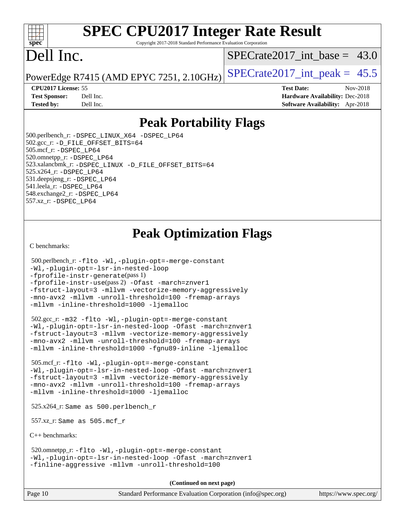#### $+\ +$ **[spec](http://www.spec.org/)**

# **[SPEC CPU2017 Integer Rate Result](http://www.spec.org/auto/cpu2017/Docs/result-fields.html#SPECCPU2017IntegerRateResult)**

Copyright 2017-2018 Standard Performance Evaluation Corporation

## Dell Inc.

SPECrate2017 int\_base =  $43.0$ 

PowerEdge R7415 (AMD EPYC 7251, 2.10GHz)  $\left|$  [SPECrate2017\\_int\\_peak =](http://www.spec.org/auto/cpu2017/Docs/result-fields.html#SPECrate2017intpeak) 45.5

**[CPU2017 License:](http://www.spec.org/auto/cpu2017/Docs/result-fields.html#CPU2017License)** 55 **[Test Date:](http://www.spec.org/auto/cpu2017/Docs/result-fields.html#TestDate)** Nov-2018

**[Test Sponsor:](http://www.spec.org/auto/cpu2017/Docs/result-fields.html#TestSponsor)** Dell Inc. **[Hardware Availability:](http://www.spec.org/auto/cpu2017/Docs/result-fields.html#HardwareAvailability)** Dec-2018 **[Tested by:](http://www.spec.org/auto/cpu2017/Docs/result-fields.html#Testedby)** Dell Inc. **[Software Availability:](http://www.spec.org/auto/cpu2017/Docs/result-fields.html#SoftwareAvailability)** Apr-2018

## **[Peak Portability Flags](http://www.spec.org/auto/cpu2017/Docs/result-fields.html#PeakPortabilityFlags)**

 500.perlbench\_r: [-DSPEC\\_LINUX\\_X64](http://www.spec.org/cpu2017/results/res2018q4/cpu2017-20181210-10147.flags.html#b500.perlbench_r_peakPORTABILITY_DSPEC_LINUX_X64) [-DSPEC\\_LP64](http://www.spec.org/cpu2017/results/res2018q4/cpu2017-20181210-10147.flags.html#b500.perlbench_r_peakEXTRA_PORTABILITY_DSPEC_LP64) 502.gcc\_r: [-D\\_FILE\\_OFFSET\\_BITS=64](http://www.spec.org/cpu2017/results/res2018q4/cpu2017-20181210-10147.flags.html#user_peakEXTRA_PORTABILITY502_gcc_r_F-D_FILE_OFFSET_BITS_5ae949a99b284ddf4e95728d47cb0843d81b2eb0e18bdfe74bbf0f61d0b064f4bda2f10ea5eb90e1dcab0e84dbc592acfc5018bc955c18609f94ddb8d550002c) 505.mcf\_r: [-DSPEC\\_LP64](http://www.spec.org/cpu2017/results/res2018q4/cpu2017-20181210-10147.flags.html#suite_peakEXTRA_PORTABILITY505_mcf_r_DSPEC_LP64) 520.omnetpp\_r: [-DSPEC\\_LP64](http://www.spec.org/cpu2017/results/res2018q4/cpu2017-20181210-10147.flags.html#suite_peakEXTRA_PORTABILITY520_omnetpp_r_DSPEC_LP64) 523.xalancbmk\_r: [-DSPEC\\_LINUX](http://www.spec.org/cpu2017/results/res2018q4/cpu2017-20181210-10147.flags.html#b523.xalancbmk_r_peakPORTABILITY_DSPEC_LINUX) [-D\\_FILE\\_OFFSET\\_BITS=64](http://www.spec.org/cpu2017/results/res2018q4/cpu2017-20181210-10147.flags.html#user_peakEXTRA_PORTABILITY523_xalancbmk_r_F-D_FILE_OFFSET_BITS_5ae949a99b284ddf4e95728d47cb0843d81b2eb0e18bdfe74bbf0f61d0b064f4bda2f10ea5eb90e1dcab0e84dbc592acfc5018bc955c18609f94ddb8d550002c) 525.x264\_r: [-DSPEC\\_LP64](http://www.spec.org/cpu2017/results/res2018q4/cpu2017-20181210-10147.flags.html#suite_peakEXTRA_PORTABILITY525_x264_r_DSPEC_LP64) 531.deepsjeng\_r: [-DSPEC\\_LP64](http://www.spec.org/cpu2017/results/res2018q4/cpu2017-20181210-10147.flags.html#suite_peakEXTRA_PORTABILITY531_deepsjeng_r_DSPEC_LP64) 541.leela\_r: [-DSPEC\\_LP64](http://www.spec.org/cpu2017/results/res2018q4/cpu2017-20181210-10147.flags.html#suite_peakEXTRA_PORTABILITY541_leela_r_DSPEC_LP64) 548.exchange2\_r: [-DSPEC\\_LP64](http://www.spec.org/cpu2017/results/res2018q4/cpu2017-20181210-10147.flags.html#suite_peakEXTRA_PORTABILITY548_exchange2_r_DSPEC_LP64) 557.xz\_r: [-DSPEC\\_LP64](http://www.spec.org/cpu2017/results/res2018q4/cpu2017-20181210-10147.flags.html#suite_peakEXTRA_PORTABILITY557_xz_r_DSPEC_LP64)

## **[Peak Optimization Flags](http://www.spec.org/auto/cpu2017/Docs/result-fields.html#PeakOptimizationFlags)**

[C benchmarks](http://www.spec.org/auto/cpu2017/Docs/result-fields.html#Cbenchmarks):

```
 500.perlbench_r: -flto -Wl,-plugin-opt=-merge-constant
-Wl,-plugin-opt=-lsr-in-nested-loop
-fprofile-instr-generate(pass 1)
-fprofile-instr-use(pass 2) -Ofast -march=znver1
-fstruct-layout=3 -mllvm -vectorize-memory-aggressively
-mno-avx2 -mllvm -unroll-threshold=100 -fremap-arrays
-mllvm -inline-threshold=1000 -ljemalloc
```

```
 502.gcc_r: -m32 -flto -Wl,-plugin-opt=-merge-constant
-Wl,-plugin-opt=-lsr-in-nested-loop -Ofast -march=znver1
-fstruct-layout=3 -mllvm -vectorize-memory-aggressively
-mno-avx2 -mllvm -unroll-threshold=100 -fremap-arrays
-mllvm -inline-threshold=1000 -fgnu89-inline -ljemalloc
```
 505.mcf\_r: [-flto](http://www.spec.org/cpu2017/results/res2018q4/cpu2017-20181210-10147.flags.html#user_peakCOPTIMIZEEXTRA_LDFLAGS505_mcf_r_lto) [-Wl,-plugin-opt=-merge-constant](http://www.spec.org/cpu2017/results/res2018q4/cpu2017-20181210-10147.flags.html#user_peakEXTRA_LDFLAGS505_mcf_r_F-merge-constant_1d79771b5442061d9c8e05556c6b0c655e6c9e66f8c6936b0129d434b6acd2b1cf1b7cd2540d1570ff636111b08a6bc36e2e61fc34531f8ef7c1a34c57be1dbb) [-Wl,-plugin-opt=-lsr-in-nested-loop](http://www.spec.org/cpu2017/results/res2018q4/cpu2017-20181210-10147.flags.html#user_peakEXTRA_LDFLAGS505_mcf_r_lsr-in-nested-loop_1cff93fd95162f5e77640b5271e8bed680fb62b4a8d96fb8ab217ff3244646f1fbb342e31af83c263403bbf5249c7dc7732d5c86c3eab4cc8d32dcb7a6f33ca0) [-Ofast](http://www.spec.org/cpu2017/results/res2018q4/cpu2017-20181210-10147.flags.html#user_peakCOPTIMIZE505_mcf_r_F-aocc-Ofast) [-march=znver1](http://www.spec.org/cpu2017/results/res2018q4/cpu2017-20181210-10147.flags.html#user_peakCOPTIMIZE505_mcf_r_F-march) [-fstruct-layout=3](http://www.spec.org/cpu2017/results/res2018q4/cpu2017-20181210-10147.flags.html#user_peakCOPTIMIZE505_mcf_r_F-fstruct-layout) [-mllvm -vectorize-memory-aggressively](http://www.spec.org/cpu2017/results/res2018q4/cpu2017-20181210-10147.flags.html#user_peakCOPTIMIZE505_mcf_r_vectorize-memory-aggressively_24b72a4417f50ade9e698c5b3bed87ab456cc6fc8ec6439480cb84f36ad6a3975af6e87206dea402e3871a1464ff3d60bc798e0250f330177ba629a260df1857) [-mno-avx2](http://www.spec.org/cpu2017/results/res2018q4/cpu2017-20181210-10147.flags.html#user_peakCOPTIMIZE505_mcf_r_F-mno-avx2) [-mllvm -unroll-threshold=100](http://www.spec.org/cpu2017/results/res2018q4/cpu2017-20181210-10147.flags.html#user_peakCOPTIMIZE505_mcf_r_F-unroll-threshold_2755d0c78138845d361fa1543e3a063fffa198df9b3edf0cfb856bbc88a81e1769b12ac7a550c5d35197be55360db1a3f95a8d1304df999456cabf5120c45168) [-fremap-arrays](http://www.spec.org/cpu2017/results/res2018q4/cpu2017-20181210-10147.flags.html#user_peakCOPTIMIZE505_mcf_r_F-fremap-arrays) [-mllvm -inline-threshold=1000](http://www.spec.org/cpu2017/results/res2018q4/cpu2017-20181210-10147.flags.html#user_peakCOPTIMIZE505_mcf_r_inline-threshold_b7832241b0a6397e4ecdbaf0eb7defdc10f885c2a282fa3240fdc99844d543fda39cf8a4a9dccf68cf19b5438ac3b455264f478df15da0f4988afa40d8243bab) [-ljemalloc](http://www.spec.org/cpu2017/results/res2018q4/cpu2017-20181210-10147.flags.html#user_peakEXTRA_LIBS505_mcf_r_jemalloc-lib_d1249b907c500fa1c0672f44f562e3d0f79738ae9e3c4a9c376d49f265a04b9c99b167ecedbf6711b3085be911c67ff61f150a17b3472be731631ba4d0471706)

525.x264\_r: Same as 500.perlbench\_r

557.xz\_r: Same as 505.mcf\_r

[C++ benchmarks:](http://www.spec.org/auto/cpu2017/Docs/result-fields.html#CXXbenchmarks)

 520.omnetpp\_r: [-flto](http://www.spec.org/cpu2017/results/res2018q4/cpu2017-20181210-10147.flags.html#user_peakCXXOPTIMIZEEXTRA_LDFLAGS520_omnetpp_r_lto) [-Wl,-plugin-opt=-merge-constant](http://www.spec.org/cpu2017/results/res2018q4/cpu2017-20181210-10147.flags.html#user_peakEXTRA_LDFLAGS520_omnetpp_r_F-merge-constant_1d79771b5442061d9c8e05556c6b0c655e6c9e66f8c6936b0129d434b6acd2b1cf1b7cd2540d1570ff636111b08a6bc36e2e61fc34531f8ef7c1a34c57be1dbb) [-Wl,-plugin-opt=-lsr-in-nested-loop](http://www.spec.org/cpu2017/results/res2018q4/cpu2017-20181210-10147.flags.html#user_peakEXTRA_LDFLAGS520_omnetpp_r_lsr-in-nested-loop_1cff93fd95162f5e77640b5271e8bed680fb62b4a8d96fb8ab217ff3244646f1fbb342e31af83c263403bbf5249c7dc7732d5c86c3eab4cc8d32dcb7a6f33ca0) [-Ofast](http://www.spec.org/cpu2017/results/res2018q4/cpu2017-20181210-10147.flags.html#user_peakCXXOPTIMIZE520_omnetpp_r_F-aocc-Ofast) [-march=znver1](http://www.spec.org/cpu2017/results/res2018q4/cpu2017-20181210-10147.flags.html#user_peakCXXOPTIMIZE520_omnetpp_r_F-march) [-finline-aggressive](http://www.spec.org/cpu2017/results/res2018q4/cpu2017-20181210-10147.flags.html#user_peakCXXOPTIMIZE520_omnetpp_r_F-finline-aggressive) [-mllvm -unroll-threshold=100](http://www.spec.org/cpu2017/results/res2018q4/cpu2017-20181210-10147.flags.html#user_peakCXXOPTIMIZE520_omnetpp_r_F-unroll-threshold_2755d0c78138845d361fa1543e3a063fffa198df9b3edf0cfb856bbc88a81e1769b12ac7a550c5d35197be55360db1a3f95a8d1304df999456cabf5120c45168)

**(Continued on next page)**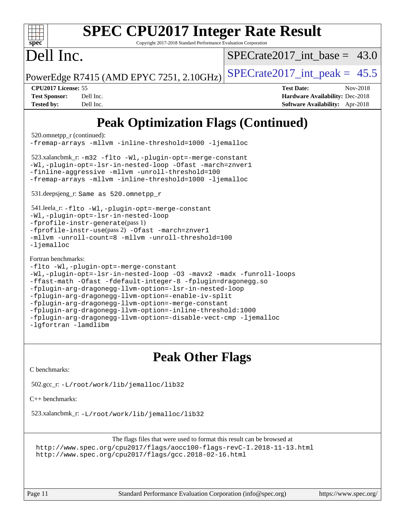| <b>SPEC CPU2017 Integer Rate Result</b><br>spec<br>Copyright 2017-2018 Standard Performance Evaluation Corporation                                                                                                                                                                                                                                                                                                                                                                                                                                                                                                                                                                                          |                                                                                                            |  |  |  |  |
|-------------------------------------------------------------------------------------------------------------------------------------------------------------------------------------------------------------------------------------------------------------------------------------------------------------------------------------------------------------------------------------------------------------------------------------------------------------------------------------------------------------------------------------------------------------------------------------------------------------------------------------------------------------------------------------------------------------|------------------------------------------------------------------------------------------------------------|--|--|--|--|
| Dell Inc.                                                                                                                                                                                                                                                                                                                                                                                                                                                                                                                                                                                                                                                                                                   | SPECrate2017 int base = $43.0$                                                                             |  |  |  |  |
| PowerEdge R7415 (AMD EPYC 7251, 2.10GHz)                                                                                                                                                                                                                                                                                                                                                                                                                                                                                                                                                                                                                                                                    | $SPECTate2017\_int\_peak = 45.5$                                                                           |  |  |  |  |
| CPU2017 License: 55<br><b>Test Sponsor:</b><br>Dell Inc.<br><b>Tested by:</b><br>Dell Inc.                                                                                                                                                                                                                                                                                                                                                                                                                                                                                                                                                                                                                  | <b>Test Date:</b><br>Nov-2018<br>Hardware Availability: Dec-2018<br><b>Software Availability:</b> Apr-2018 |  |  |  |  |
| <b>Peak Optimization Flags (Continued)</b><br>520.omnetpp_r (continued):<br>-fremap-arrays -mllvm -inline-threshold=1000 -ljemalloc<br>523.xalancbmk_r: -m32 -flto -Wl,-plugin-opt=-merge-constant<br>-Wl,-plugin-opt=-lsr-in-nested-loop -Ofast -march=znver1<br>-finline-aggressive -mllvm -unroll-threshold=100<br>-fremap-arrays -mllvm -inline-threshold=1000 -ljemalloc<br>531.deepsjeng_r: Same as 520.omnetpp_r<br>541.leela_r: -flto -Wl,-plugin-opt=-merge-constant<br>-Wl,-plugin-opt=-lsr-in-nested-loop<br>-fprofile-instr-generate(pass 1)<br>-fprofile-instr-use(pass 2) -Ofast -march=znver1<br>-mllvm -unroll-count=8 -mllvm -unroll-threshold=100<br>$-l$ jemalloc<br>Fortran benchmarks: |                                                                                                            |  |  |  |  |

[-fplugin-arg-dragonegg-llvm-option=-lsr-in-nested-loop](http://www.spec.org/cpu2017/results/res2018q4/cpu2017-20181210-10147.flags.html#user_FCpeak_lsr-in-nested-loop_9d50e9a5bf5413862ef575cb99c4306f28354df375c817cbae12d1ca2160727959926001e898e7562b79430b7fa444a8df2254024818720af45ad007761bc4a7)

[-fplugin-arg-dragonegg-llvm-option=-enable-iv-split](http://www.spec.org/cpu2017/results/res2018q4/cpu2017-20181210-10147.flags.html#user_FCpeak_F-enable-iv-split_5dd88da1d43c18bd75cbdf250cf834c2151012bf076ae854827e69c5249e03739713e176d494b70eccfdbb757c13240bb0c8f0dd1fe462f4542b1525161a1ac7)

[-fplugin-arg-dragonegg-llvm-option=-merge-constant](http://www.spec.org/cpu2017/results/res2018q4/cpu2017-20181210-10147.flags.html#user_FCpeak_F-merge-constant_37fd66d07a4fbae8f1b816e843c3ed1ebaa48f794b65ea8be746a1880566a3d23eba4a3c37b5c024650311adcf9247c62af28144803b3729b14be14423fa5142) [-fplugin-arg-dragonegg-llvm-option=-inline-threshold:1000](http://www.spec.org/cpu2017/results/res2018q4/cpu2017-20181210-10147.flags.html#user_FCpeak_inline-threshold_eec74946bf81becf626625ea3f1757217b7f1e09b0c056df6f4a6dc542562255a9e8a6d36c454b3b2ed3e147f40cf87a14a68e01ad47a8b90b49f15f387f919f)

[-fplugin-arg-dragonegg-llvm-option=-disable-vect-cmp](http://www.spec.org/cpu2017/results/res2018q4/cpu2017-20181210-10147.flags.html#user_FCpeak_disable-vect-cmp_d119dd6f96524d64dc477d5e6a72268aebe046b42f767098038bf7530fc0cc546dd329b2376104fde185baca14f7365ef86ccd3ff602b57a7839de005478f594) [-ljemalloc](http://www.spec.org/cpu2017/results/res2018q4/cpu2017-20181210-10147.flags.html#user_FCpeak_jemalloc-lib_d1249b907c500fa1c0672f44f562e3d0f79738ae9e3c4a9c376d49f265a04b9c99b167ecedbf6711b3085be911c67ff61f150a17b3472be731631ba4d0471706)

[-lgfortran](http://www.spec.org/cpu2017/results/res2018q4/cpu2017-20181210-10147.flags.html#user_FCpeak_F-lgfortran) [-lamdlibm](http://www.spec.org/cpu2017/results/res2018q4/cpu2017-20181210-10147.flags.html#user_FCpeak_F-lamdlibm)

## **[Peak Other Flags](http://www.spec.org/auto/cpu2017/Docs/result-fields.html#PeakOtherFlags)**

[C benchmarks](http://www.spec.org/auto/cpu2017/Docs/result-fields.html#Cbenchmarks):

502.gcc\_r: [-L/root/work/lib/jemalloc/lib32](http://www.spec.org/cpu2017/results/res2018q4/cpu2017-20181210-10147.flags.html#user_peakEXTRA_LIBS502_gcc_r_Link_path_ed592dae44e5c1ab08e0623a53d3c5a4c6e35be404d5d0c77aec9324965777ec819518e6bc9b505d0969c714b6f83ef377306a01beedec47148c3dcded825687)

[C++ benchmarks:](http://www.spec.org/auto/cpu2017/Docs/result-fields.html#CXXbenchmarks)

523.xalancbmk\_r: [-L/root/work/lib/jemalloc/lib32](http://www.spec.org/cpu2017/results/res2018q4/cpu2017-20181210-10147.flags.html#user_peakEXTRA_LIBS523_xalancbmk_r_Link_path_ed592dae44e5c1ab08e0623a53d3c5a4c6e35be404d5d0c77aec9324965777ec819518e6bc9b505d0969c714b6f83ef377306a01beedec47148c3dcded825687)

The flags files that were used to format this result can be browsed at <http://www.spec.org/cpu2017/flags/aocc100-flags-revC-I.2018-11-13.html> <http://www.spec.org/cpu2017/flags/gcc.2018-02-16.html>